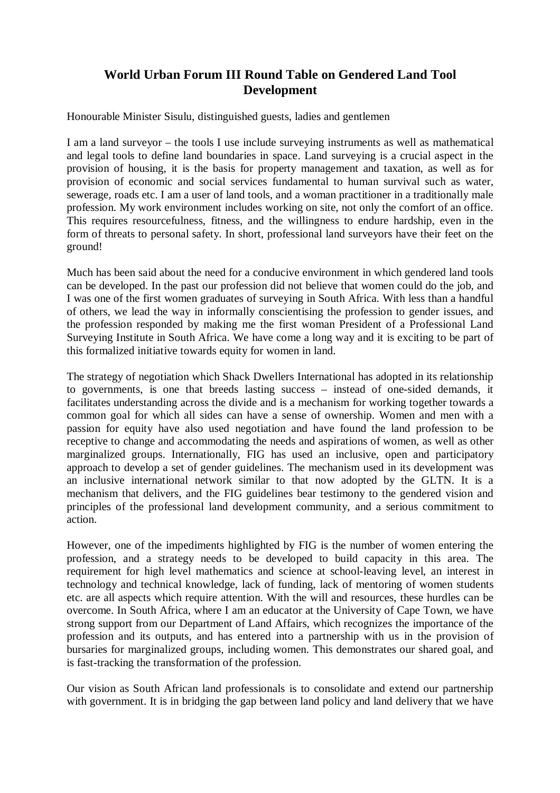## **World Urban Forum III Round Table on Gendered Land Tool Development**

Honourable Minister Sisulu, distinguished guests, ladies and gentlemen

I am a land surveyor – the tools I use include surveying instruments as well as mathematical and legal tools to define land boundaries in space. Land surveying is a crucial aspect in the provision of housing, it is the basis for property management and taxation, as well as for provision of economic and social services fundamental to human survival such as water, sewerage, roads etc. I am a user of land tools, and a woman practitioner in a traditionally male profession. My work environment includes working on site, not only the comfort of an office. This requires resourcefulness, fitness, and the willingness to endure hardship, even in the form of threats to personal safety. In short, professional land surveyors have their feet on the ground!

Much has been said about the need for a conducive environment in which gendered land tools can be developed. In the past our profession did not believe that women could do the job, and I was one of the first women graduates of surveying in South Africa. With less than a handful of others, we lead the way in informally conscientising the profession to gender issues, and the profession responded by making me the first woman President of a Professional Land Surveying Institute in South Africa. We have come a long way and it is exciting to be part of this formalized initiative towards equity for women in land.

The strategy of negotiation which Shack Dwellers International has adopted in its relationship to governments, is one that breeds lasting success – instead of one-sided demands, it facilitates understanding across the divide and is a mechanism for working together towards a common goal for which all sides can have a sense of ownership. Women and men with a passion for equity have also used negotiation and have found the land profession to be receptive to change and accommodating the needs and aspirations of women, as well as other marginalized groups. Internationally, FIG has used an inclusive, open and participatory approach to develop a set of gender guidelines. The mechanism used in its development was an inclusive international network similar to that now adopted by the GLTN. It is a mechanism that delivers, and the FIG guidelines bear testimony to the gendered vision and principles of the professional land development community, and a serious commitment to action.

However, one of the impediments highlighted by FIG is the number of women entering the profession, and a strategy needs to be developed to build capacity in this area. The requirement for high level mathematics and science at school-leaving level, an interest in technology and technical knowledge, lack of funding, lack of mentoring of women students etc. are all aspects which require attention. With the will and resources, these hurdles can be overcome. In South Africa, where I am an educator at the University of Cape Town, we have strong support from our Department of Land Affairs, which recognizes the importance of the profession and its outputs, and has entered into a partnership with us in the provision of bursaries for marginalized groups, including women. This demonstrates our shared goal, and is fast-tracking the transformation of the profession.

Our vision as South African land professionals is to consolidate and extend our partnership with government. It is in bridging the gap between land policy and land delivery that we have